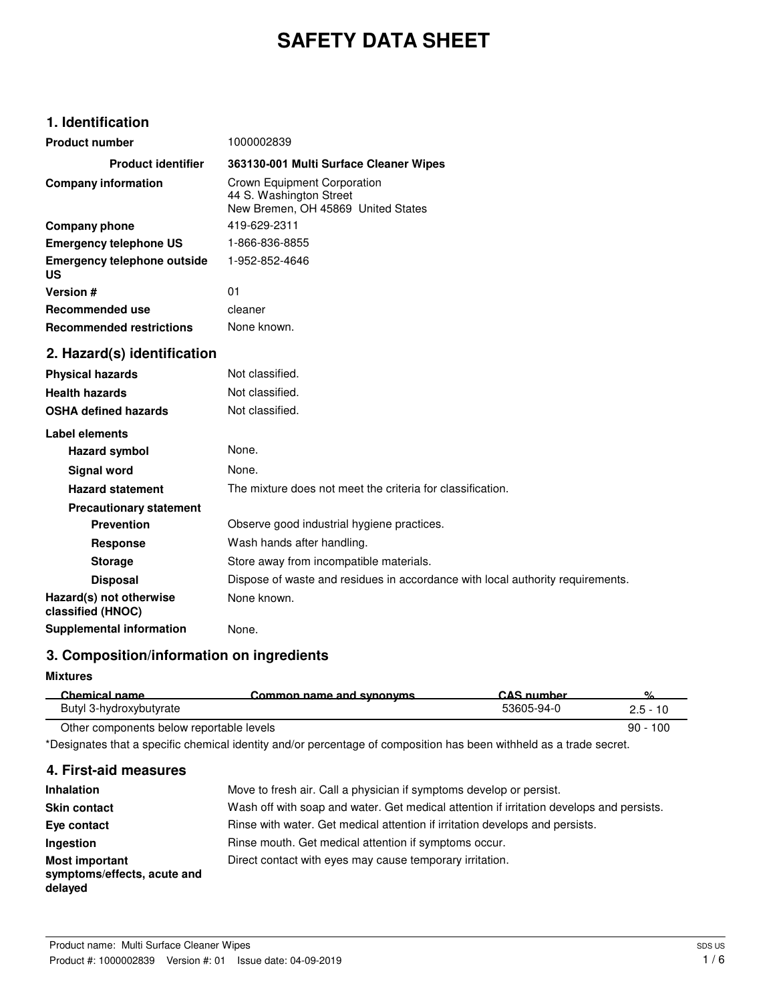# **SAFETY DATA SHEET**

## **1. Identification**

| <b>Product number</b>                        | 1000002839                                                                                   |
|----------------------------------------------|----------------------------------------------------------------------------------------------|
| <b>Product identifier</b>                    | 363130-001 Multi Surface Cleaner Wipes                                                       |
| <b>Company information</b>                   | Crown Equipment Corporation<br>44 S. Washington Street<br>New Bremen, OH 45869 United States |
| <b>Company phone</b>                         | 419-629-2311                                                                                 |
| <b>Emergency telephone US</b>                | 1-866-836-8855                                                                               |
| <b>Emergency telephone outside</b><br>US     | 1-952-852-4646                                                                               |
| <b>Version#</b>                              | 01                                                                                           |
| <b>Recommended use</b>                       | cleaner                                                                                      |
| <b>Recommended restrictions</b>              | None known.                                                                                  |
| 2. Hazard(s) identification                  |                                                                                              |
| <b>Physical hazards</b>                      | Not classified.                                                                              |
| <b>Health hazards</b>                        | Not classified.                                                                              |
| <b>OSHA defined hazards</b>                  | Not classified.                                                                              |
| Label elements                               |                                                                                              |
| <b>Hazard symbol</b>                         | None.                                                                                        |
| Signal word                                  | None.                                                                                        |
| <b>Hazard statement</b>                      | The mixture does not meet the criteria for classification.                                   |
| <b>Precautionary statement</b>               |                                                                                              |
| <b>Prevention</b>                            | Observe good industrial hygiene practices.                                                   |
| <b>Response</b>                              | Wash hands after handling.                                                                   |
| <b>Storage</b>                               | Store away from incompatible materials.                                                      |
| <b>Disposal</b>                              | Dispose of waste and residues in accordance with local authority requirements.               |
| Hazard(s) not otherwise<br>classified (HNOC) | None known.                                                                                  |
| <b>Supplemental information</b>              | None.                                                                                        |

## **3. Composition/information on ingredients**

**Mixtures**

| Chemical name                            | Common name and synonyms | $CAS$ number | ٥/         |
|------------------------------------------|--------------------------|--------------|------------|
| Butyl 3-hydroxybutyrate                  |                          | 53605-94-0   | $2.5 - 10$ |
| Other components below reportable levels |                          |              | $90 - 100$ |

\*Designates that a specific chemical identity and/or percentage of composition has been withheld as a trade secret.

### **4. First-aid measures**

| <b>Inhalation</b>                                               | Move to fresh air. Call a physician if symptoms develop or persist.                      |
|-----------------------------------------------------------------|------------------------------------------------------------------------------------------|
| <b>Skin contact</b>                                             | Wash off with soap and water. Get medical attention if irritation develops and persists. |
| Eye contact                                                     | Rinse with water. Get medical attention if irritation develops and persists.             |
| Ingestion                                                       | Rinse mouth. Get medical attention if symptoms occur.                                    |
| <b>Most important</b><br>symptoms/effects, acute and<br>delayed | Direct contact with eyes may cause temporary irritation.                                 |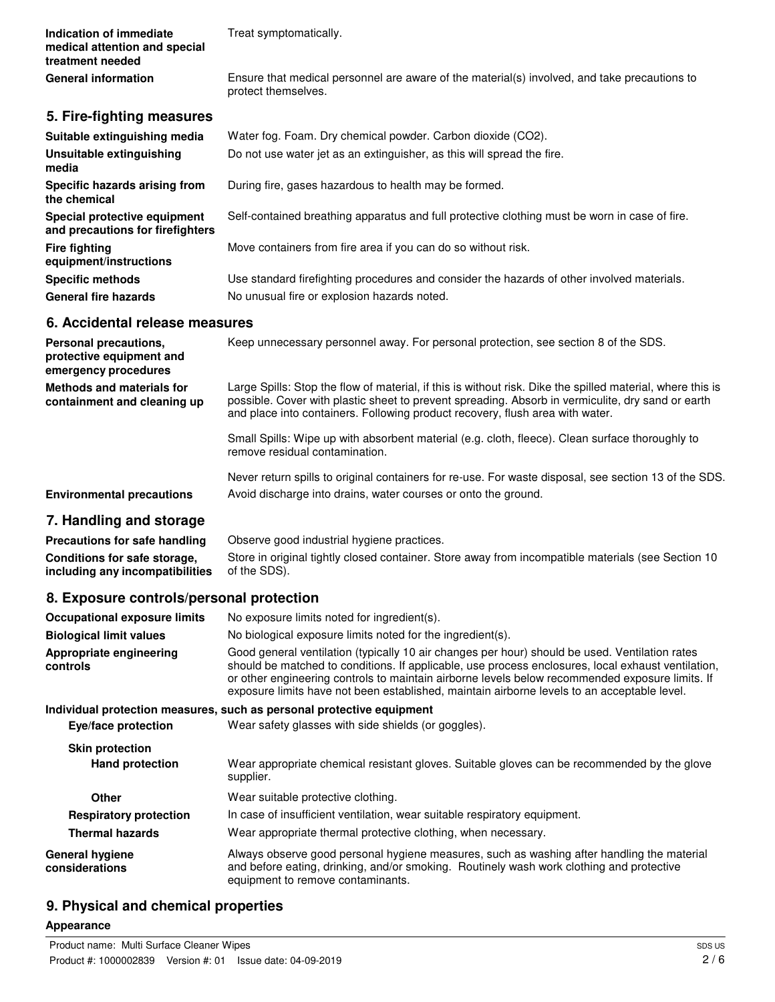**Indication of immediate** Treat symptomatically. **medical attention and special treatment needed** Ensure that medical personnel are aware of the material(s) involved, and take precautions to protect themselves. **General information 5. Fire-fighting measures Suitable extinguishing media** Water fog. Foam. Dry chemical powder. Carbon dioxide (CO2). **Unsuitable extinguishing** Do not use water jet as an extinguisher, as this will spread the fire. **media Specific hazards arising from** During fire, gases hazardous to health may be formed. **the chemical Special protective equipment** Self-contained breathing apparatus and full protective clothing must be worn in case of fire. **and precautions for firefighters Fire fighting** Move containers from fire area if you can do so without risk. **equipment/instructions Specific methods** Use standard firefighting procedures and consider the hazards of other involved materials. General fire hazards **No unusual fire or explosion hazards noted.** 

### **6. Accidental release measures**

| Personal precautions,<br>protective equipment and<br>emergency procedures | Keep unnecessary personnel away. For personal protection, see section 8 of the SDS.                                                                                                                                                                                                              |
|---------------------------------------------------------------------------|--------------------------------------------------------------------------------------------------------------------------------------------------------------------------------------------------------------------------------------------------------------------------------------------------|
| <b>Methods and materials for</b><br>containment and cleaning up           | Large Spills: Stop the flow of material, if this is without risk. Dike the spilled material, where this is<br>possible. Cover with plastic sheet to prevent spreading. Absorb in vermiculite, dry sand or earth<br>and place into containers. Following product recovery, flush area with water. |
|                                                                           | Small Spills: Wipe up with absorbent material (e.g. cloth, fleece). Clean surface thoroughly to<br>remove residual contamination.                                                                                                                                                                |
| <b>Environmental precautions</b>                                          | Never return spills to original containers for re-use. For waste disposal, see section 13 of the SDS.<br>Avoid discharge into drains, water courses or onto the ground.                                                                                                                          |
| 7 Hemalling and stevens                                                   |                                                                                                                                                                                                                                                                                                  |

### **7. Handling and storage**

**Precautions for safe handling** Observe good industrial hygiene practices. Store in original tightly closed container. Store away from incompatible materials (see Section 10 of the SDS). **Conditions for safe storage, including any incompatibilities**

## **8. Exposure controls/personal protection**

| <b>Occupational exposure limits</b>      | No exposure limits noted for ingredient(s).                                                                                                                                                                                                                                                                                                                                                            |
|------------------------------------------|--------------------------------------------------------------------------------------------------------------------------------------------------------------------------------------------------------------------------------------------------------------------------------------------------------------------------------------------------------------------------------------------------------|
| <b>Biological limit values</b>           | No biological exposure limits noted for the ingredient(s).                                                                                                                                                                                                                                                                                                                                             |
| Appropriate engineering<br>controls      | Good general ventilation (typically 10 air changes per hour) should be used. Ventilation rates<br>should be matched to conditions. If applicable, use process enclosures, local exhaust ventilation,<br>or other engineering controls to maintain airborne levels below recommended exposure limits. If<br>exposure limits have not been established, maintain airborne levels to an acceptable level. |
|                                          | Individual protection measures, such as personal protective equipment                                                                                                                                                                                                                                                                                                                                  |
| Eye/face protection                      | Wear safety glasses with side shields (or goggles).                                                                                                                                                                                                                                                                                                                                                    |
| <b>Skin protection</b>                   |                                                                                                                                                                                                                                                                                                                                                                                                        |
| <b>Hand protection</b>                   | Wear appropriate chemical resistant gloves. Suitable gloves can be recommended by the glove<br>supplier.                                                                                                                                                                                                                                                                                               |
| <b>Other</b>                             | Wear suitable protective clothing.                                                                                                                                                                                                                                                                                                                                                                     |
| <b>Respiratory protection</b>            | In case of insufficient ventilation, wear suitable respiratory equipment.                                                                                                                                                                                                                                                                                                                              |
| <b>Thermal hazards</b>                   | Wear appropriate thermal protective clothing, when necessary.                                                                                                                                                                                                                                                                                                                                          |
| <b>General hygiene</b><br>considerations | Always observe good personal hygiene measures, such as washing after handling the material<br>and before eating, drinking, and/or smoking. Routinely wash work clothing and protective<br>equipment to remove contaminants.                                                                                                                                                                            |

## **9. Physical and chemical properties**

#### **Appearance**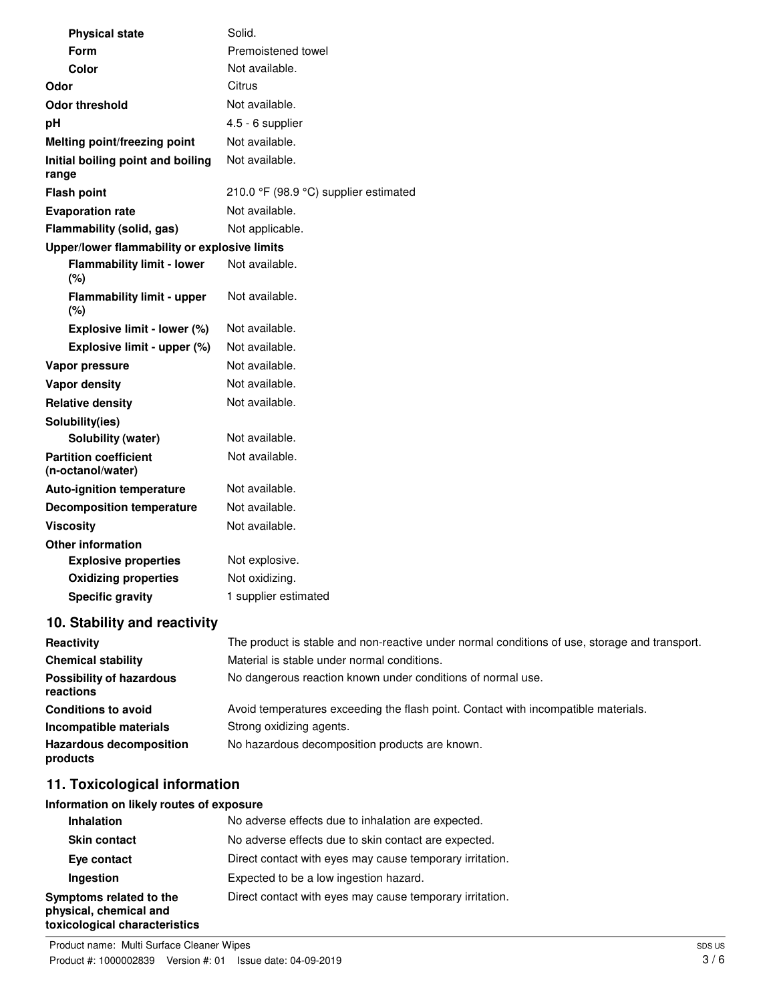| <b>Physical state</b>                             | Solid.                                                                                        |
|---------------------------------------------------|-----------------------------------------------------------------------------------------------|
| Form                                              | Premoistened towel                                                                            |
| Color                                             | Not available.                                                                                |
| Odor                                              | Citrus                                                                                        |
| <b>Odor threshold</b>                             | Not available.                                                                                |
| pH                                                | 4.5 - 6 supplier                                                                              |
| Melting point/freezing point                      | Not available.                                                                                |
| Initial boiling point and boiling<br>range        | Not available.                                                                                |
| <b>Flash point</b>                                | 210.0 °F (98.9 °C) supplier estimated                                                         |
| <b>Evaporation rate</b>                           | Not available.                                                                                |
| Flammability (solid, gas)                         | Not applicable.                                                                               |
| Upper/lower flammability or explosive limits      |                                                                                               |
| <b>Flammability limit - lower</b><br>(%)          | Not available.                                                                                |
| <b>Flammability limit - upper</b><br>(%)          | Not available.                                                                                |
| Explosive limit - lower (%)                       | Not available.                                                                                |
| Explosive limit - upper (%)                       | Not available.                                                                                |
| Vapor pressure                                    | Not available.                                                                                |
| Vapor density                                     | Not available.                                                                                |
| <b>Relative density</b>                           | Not available.                                                                                |
| Solubility(ies)                                   |                                                                                               |
| Solubility (water)                                | Not available.                                                                                |
| <b>Partition coefficient</b><br>(n-octanol/water) | Not available.                                                                                |
| <b>Auto-ignition temperature</b>                  | Not available.                                                                                |
| <b>Decomposition temperature</b>                  | Not available.                                                                                |
| <b>Viscosity</b>                                  | Not available.                                                                                |
| <b>Other information</b>                          |                                                                                               |
| <b>Explosive properties</b>                       | Not explosive.                                                                                |
| <b>Oxidizing properties</b>                       | Not oxidizing.                                                                                |
| <b>Specific gravity</b>                           | 1 supplier estimated                                                                          |
| 10. Stability and reactivity                      |                                                                                               |
| Reactivity                                        | The product is stable and non-reactive under normal conditions of use, storage and transport. |
| <b>Chemical stability</b>                         | Material is stable under normal conditions.                                                   |

| <b>HEACHVILY</b>                             | The product is stable and non-reactive under normal conditions or use, storage and transpor |
|----------------------------------------------|---------------------------------------------------------------------------------------------|
| <b>Chemical stability</b>                    | Material is stable under normal conditions.                                                 |
| <b>Possibility of hazardous</b><br>reactions | No dangerous reaction known under conditions of normal use.                                 |
| <b>Conditions to avoid</b>                   | Avoid temperatures exceeding the flash point. Contact with incompatible materials.          |
| Incompatible materials                       | Strong oxidizing agents.                                                                    |
| <b>Hazardous decomposition</b><br>products   | No hazardous decomposition products are known.                                              |

## **11. Toxicological information**

## **Information on likely routes of exposure**

| <b>Inhalation</b>                                                                  | No adverse effects due to inhalation are expected.       |
|------------------------------------------------------------------------------------|----------------------------------------------------------|
| <b>Skin contact</b>                                                                | No adverse effects due to skin contact are expected.     |
| Eye contact                                                                        | Direct contact with eyes may cause temporary irritation. |
| Ingestion                                                                          | Expected to be a low ingestion hazard.                   |
| Symptoms related to the<br>physical, chemical and<br>toxicological characteristics | Direct contact with eyes may cause temporary irritation. |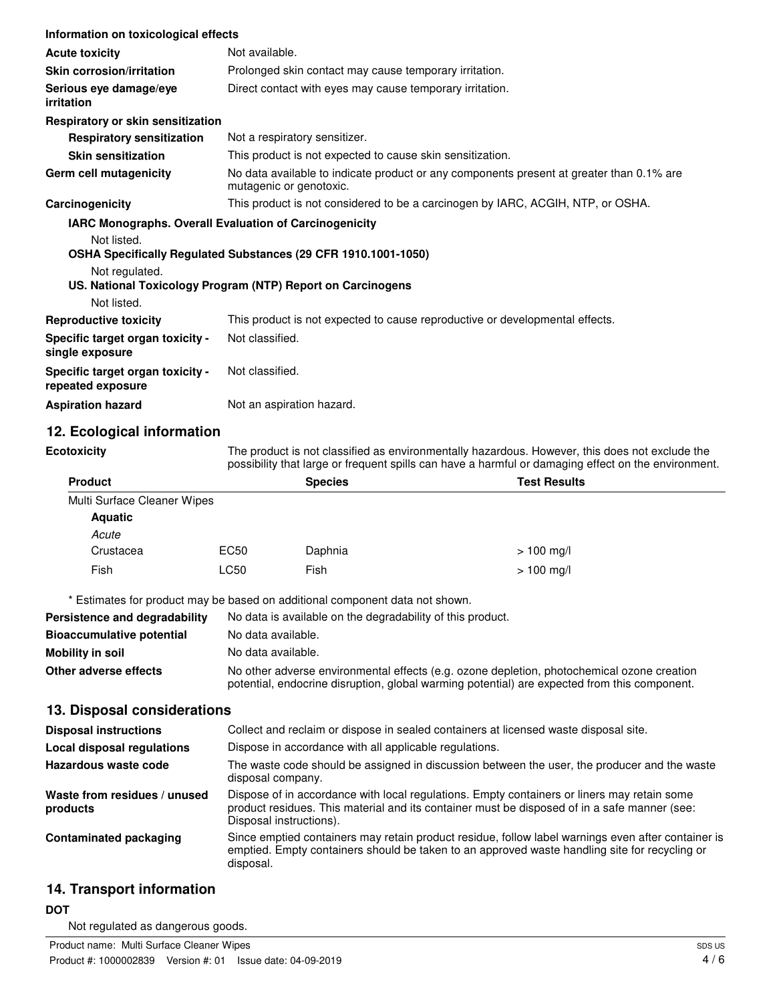| Information on toxicological effects                   |                                                                                                                                                                                                       |  |
|--------------------------------------------------------|-------------------------------------------------------------------------------------------------------------------------------------------------------------------------------------------------------|--|
| <b>Acute toxicity</b>                                  | Not available.                                                                                                                                                                                        |  |
| <b>Skin corrosion/irritation</b>                       | Prolonged skin contact may cause temporary irritation.                                                                                                                                                |  |
| Serious eye damage/eye<br>irritation                   | Direct contact with eyes may cause temporary irritation.                                                                                                                                              |  |
| Respiratory or skin sensitization                      |                                                                                                                                                                                                       |  |
| <b>Respiratory sensitization</b>                       | Not a respiratory sensitizer.                                                                                                                                                                         |  |
| <b>Skin sensitization</b>                              | This product is not expected to cause skin sensitization.                                                                                                                                             |  |
| Germ cell mutagenicity                                 | No data available to indicate product or any components present at greater than 0.1% are<br>mutagenic or genotoxic.                                                                                   |  |
| Carcinogenicity                                        | This product is not considered to be a carcinogen by IARC, ACGIH, NTP, or OSHA.                                                                                                                       |  |
| IARC Monographs. Overall Evaluation of Carcinogenicity |                                                                                                                                                                                                       |  |
| Not listed.                                            | OSHA Specifically Regulated Substances (29 CFR 1910.1001-1050)                                                                                                                                        |  |
| Not regulated.                                         | US. National Toxicology Program (NTP) Report on Carcinogens                                                                                                                                           |  |
| Not listed.                                            |                                                                                                                                                                                                       |  |
| <b>Reproductive toxicity</b>                           | This product is not expected to cause reproductive or developmental effects.                                                                                                                          |  |
| Specific target organ toxicity -<br>single exposure    | Not classified.                                                                                                                                                                                       |  |
| Specific target organ toxicity -<br>repeated exposure  | Not classified.                                                                                                                                                                                       |  |
| <b>Aspiration hazard</b>                               | Not an aspiration hazard.                                                                                                                                                                             |  |
| 12. Ecological information                             |                                                                                                                                                                                                       |  |
| <b>Ecotoxicity</b>                                     | The product is not classified as environmentally hazardous. However, this does not exclude the<br>possibility that large or frequent spills can have a harmful or damaging effect on the environment. |  |
| <b>Product</b>                                         | <b>Test Results</b><br><b>Species</b>                                                                                                                                                                 |  |
| Multi Surface Cleaner Wipes<br><b>Aquatic</b>          |                                                                                                                                                                                                       |  |

| Acute     |      |         |              |
|-----------|------|---------|--------------|
| Crustacea | EC50 | Daphnia | $> 100$ mg/l |
| Fish      | LC50 | Fish    | > 100 mg/l   |

\* Estimates for product may be based on additional component data not shown.

| Persistence and degradability    | No data is available on the degradability of this product.                                                                                                                                 |
|----------------------------------|--------------------------------------------------------------------------------------------------------------------------------------------------------------------------------------------|
| <b>Bioaccumulative potential</b> | No data available.                                                                                                                                                                         |
| Mobility in soil                 | No data available.                                                                                                                                                                         |
| Other adverse effects            | No other adverse environmental effects (e.g. ozone depletion, photochemical ozone creation<br>potential, endocrine disruption, global warming potential) are expected from this component. |

## **13. Disposal considerations**

| <b>Disposal instructions</b>             | Collect and reclaim or dispose in sealed containers at licensed waste disposal site.                                                                                                                                   |
|------------------------------------------|------------------------------------------------------------------------------------------------------------------------------------------------------------------------------------------------------------------------|
| <b>Local disposal regulations</b>        | Dispose in accordance with all applicable regulations.                                                                                                                                                                 |
| Hazardous waste code                     | The waste code should be assigned in discussion between the user, the producer and the waste<br>disposal company.                                                                                                      |
| Waste from residues / unused<br>products | Dispose of in accordance with local regulations. Empty containers or liners may retain some<br>product residues. This material and its container must be disposed of in a safe manner (see:<br>Disposal instructions). |
| Contaminated packaging                   | Since emptied containers may retain product residue, follow label warnings even after container is<br>emptied. Empty containers should be taken to an approved waste handling site for recycling or<br>disposal.       |

## **14. Transport information**

## **DOT**

Not regulated as dangerous goods.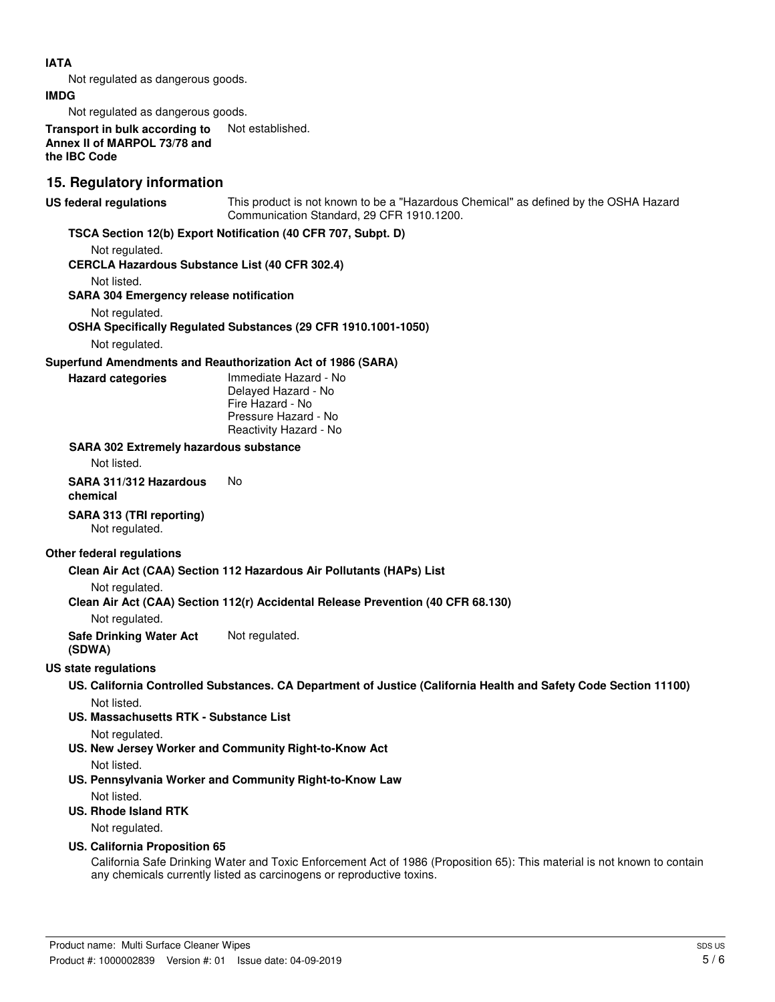#### **IATA**

Not regulated as dangerous goods.

#### **IMDG**

Not regulated as dangerous goods.

**Transport in bulk according to** Not established. **Annex II of MARPOL 73/78 and the IBC Code**

## **15. Regulatory information**

This product is not known to be a "Hazardous Chemical" as defined by the OSHA Hazard Communication Standard, 29 CFR 1910.1200. **US federal regulations**

#### **TSCA Section 12(b) Export Notification (40 CFR 707, Subpt. D)**

Not regulated.

#### **CERCLA Hazardous Substance List (40 CFR 302.4)**

Not listed.

**SARA 304 Emergency release notification**

Not regulated.

**OSHA Specifically Regulated Substances (29 CFR 1910.1001-1050)**

Not regulated.

#### **Superfund Amendments and Reauthorization Act of 1986 (SARA)**

#### **Hazard categories**

Immediate Hazard - No Delayed Hazard - No Fire Hazard - No Pressure Hazard - No Reactivity Hazard - No

#### **SARA 302 Extremely hazardous substance**

Not listed.

## **SARA 311/312 Hazardous** No

**chemical**

#### **SARA 313 (TRI reporting)**

Not regulated.

#### **Other federal regulations**

#### **Clean Air Act (CAA) Section 112 Hazardous Air Pollutants (HAPs) List**

Not regulated.

#### **Clean Air Act (CAA) Section 112(r) Accidental Release Prevention (40 CFR 68.130)**

Not regulated.

**Safe Drinking Water Act** Not regulated.

## **(SDWA)**

#### **US state regulations**

**US. California Controlled Substances. CA Department of Justice (California Health and Safety Code Section 11100)** Not listed.

**US. Massachusetts RTK - Substance List**

Not regulated.

**US. New Jersey Worker and Community Right-to-Know Act**

Not listed.

**US. Pennsylvania Worker and Community Right-to-Know Law** Not listed.

### **US. Rhode Island RTK**

Not regulated.

#### **US. California Proposition 65**

California Safe Drinking Water and Toxic Enforcement Act of 1986 (Proposition 65): This material is not known to contain any chemicals currently listed as carcinogens or reproductive toxins.